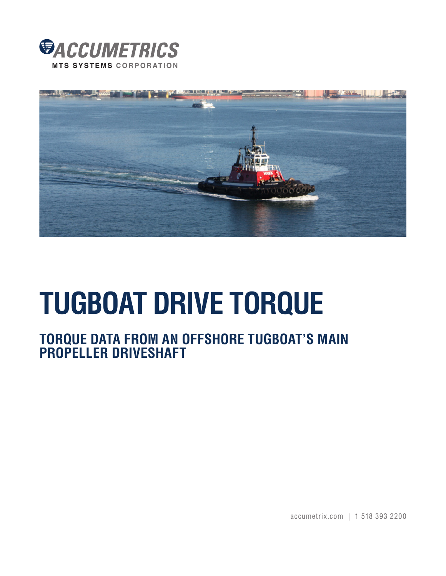



# **TUGBOAT DRIVE TORQUE**

# **TORQUE DATA FROM AN OFFSHORE TUGBOAT'S MAIN PROPELLER DRIVESHAFT**

accumetrix.com | 1 518 393 2200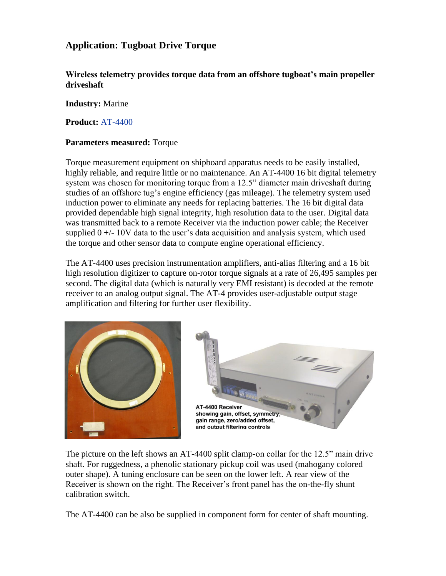## **Application: Tugboat Drive Torque**

**Wireless telemetry provides torque data from an offshore tugboat's main propeller driveshaft** 

#### **Industry:** Marine

**Product:** [AT-4400](http://www.accumetrix.com/SingleChannelTelemetry/AT4400)

### **Parameters measured:** Torque

Torque measurement equipment on shipboard apparatus needs to be easily installed, highly reliable, and require little or no maintenance. An AT-4400 16 bit digital telemetry system was chosen for monitoring torque from a 12.5" diameter main driveshaft during studies of an offshore tug's engine efficiency (gas mileage). The telemetry system used induction power to eliminate any needs for replacing batteries. The 16 bit digital data provided dependable high signal integrity, high resolution data to the user. Digital data was transmitted back to a remote Receiver via the induction power cable; the Receiver supplied  $0 +/10V$  data to the user's data acquisition and analysis system, which used the torque and other sensor data to compute engine operational efficiency.

The AT-4400 uses precision instrumentation amplifiers, anti-alias filtering and a 16 bit high resolution digitizer to capture on-rotor torque signals at a rate of 26,495 samples per second. The digital data (which is naturally very EMI resistant) is decoded at the remote receiver to an analog output signal. The AT-4 provides user-adjustable output stage amplification and filtering for further user flexibility.



The picture on the left shows an AT-4400 split clamp-on collar for the 12.5" main drive shaft. For ruggedness, a phenolic stationary pickup coil was used (mahogany colored outer shape). A tuning enclosure can be seen on the lower left. A rear view of the Receiver is shown on the right. The Receiver's front panel has the on-the-fly shunt calibration switch.

The AT-4400 can be also be supplied in component form for center of shaft mounting.